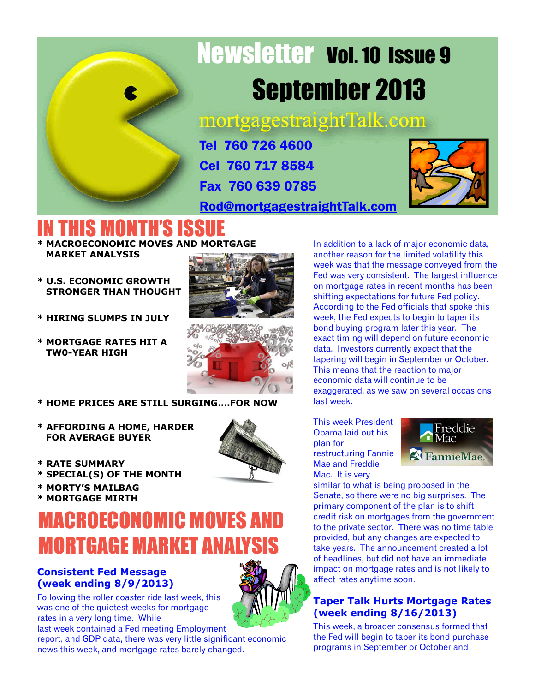

# Newsletter Vol. 10 Issue 9 September 2013

mortgagestraightTalk.com

Tel 760 726 4600 Cel 760 717 8584 Fax 760 639 0785

[Rod@mortgagestraightTalk.com](mailto:Rod@MortgageStraightTalk.com)



## IN THIS MONTH'S ISS

- **\* MACROECONOMIC MOVES AND MORTGAGE MARKET ANALYSIS**
- **\* U.S. ECONOMIC GROWTH STRONGER THAN THOUGHT**
- **\* HIRING SLUMPS IN JULY**
- **\* MORTGAGE RATES HIT A TW0-YEAR HIGH**





**\* HOME PRICES ARE STILL SURGING….FOR NOW**

- **\* AFFORDING A HOME, HARDER FOR AVERAGE BUYER**
- **\* RATE SUMMARY**
- **\* SPECIAL(S) OF THE MONTH**
- **\* MORTY'S MAILBAG**

#### **\* MORTGAGE MIRTH** MACROECONOMIC MOVES AND

#### **Consistent Fed Message (week ending 8/9/2013) MORTGAGE MARKET ANALYSI**

Following the roller coaster ride last week, this was one of the quietest weeks for mortgage rates in a very long time. While

last week contained a Fed meeting Employment report, and GDP data, there was very little significant economic news this week, and mortgage rates barely changed.

In addition to a lack of major economic data, another reason for the limited volatility this week was that the message conveyed from the Fed was very consistent. The largest influence on mortgage rates in recent months has been shifting expectations for future Fed policy. According to the Fed officials that spoke this week, the Fed expects to begin to taper its bond buying program later this year. The exact timing will depend on future economic data. Investors currently expect that the tapering will begin in September or October. This means that the reaction to major economic data will continue to be exaggerated, as we saw on several occasions last week.

This week President Obama laid out his plan for restructuring Fannie Mae and Freddie Mac. It is very



similar to what is being proposed in the Senate, so there were no big surprises. The primary component of the plan is to shift credit risk on mortgages from the government to the private sector. There was no time table provided, but any changes are expected to take years. The announcement created a lot of headlines, but did not have an immediate impact on mortgage rates and is not likely to affect rates anytime soon.

#### **Taper Talk Hurts Mortgage Rates (week ending 8/16/2013)**

This week, a broader consensus formed that the Fed will begin to taper its bond purchase programs in September or October and

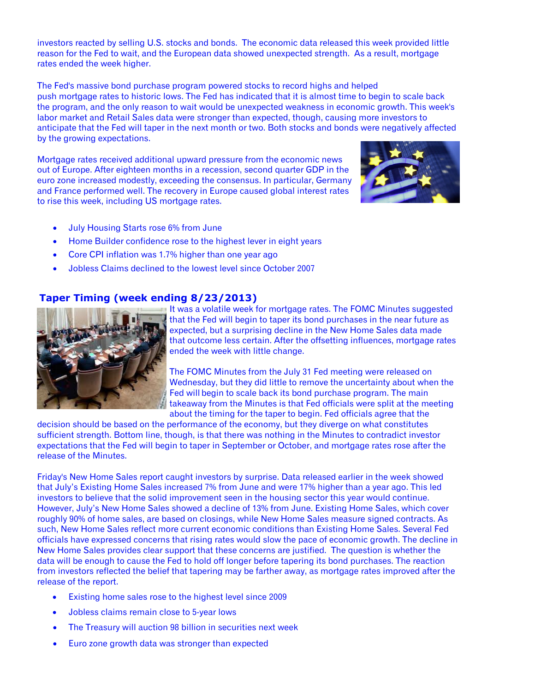investors reacted by selling U.S. stocks and bonds. The economic data released this week provided little reason for the Fed to wait, and the European data showed unexpected strength. As a result, mortgage rates ended the week higher.

The Fed's massive bond purchase program powered stocks to record highs and helped push mortgage rates to historic lows. The Fed has indicated that it is almost time to begin to scale back the program, and the only reason to wait would be unexpected weakness in economic growth. This week's labor market and Retail Sales data were stronger than expected, though, causing more investors to anticipate that the Fed will taper in the next month or two. Both stocks and bonds were negatively affected by the growing expectations.

Mortgage rates received additional upward pressure from the economic news out of Europe. After eighteen months in a recession, second quarter GDP in the euro zone increased modestly, exceeding the consensus. In particular, Germany and France performed well. The recovery in Europe caused global interest rates to rise this week, including US mortgage rates.



- · July Housing Starts rose 6% from June
- · Home Builder confidence rose to the highest lever in eight years
- · Core CPI inflation was 1.7% higher than one year ago
- · Jobless Claims declined to the lowest level since October 2007

#### **Taper Timing (week ending 8/23/2013)**



It was a volatile week for mortgage rates. The FOMC Minutes suggested that the Fed will begin to taper its bond purchases in the near future as expected, but a surprising decline in the New Home Sales data made that outcome less certain. After the offsetting influences, mortgage rates ended the week with little change.

The FOMC Minutes from the July 31 Fed meeting were released on Wednesday, but they did little to remove the uncertainty about when the Fed will begin to scale back its bond purchase program. The main takeaway from the Minutes is that Fed officials were split at the meeting about the timing for the taper to begin. Fed officials agree that the

decision should be based on the performance of the economy, but they diverge on what constitutes sufficient strength. Bottom line, though, is that there was nothing in the Minutes to contradict investor expectations that the Fed will begin to taper in September or October, and mortgage rates rose after the release of the Minutes.

Friday's New Home Sales report caught investors by surprise. Data released earlier in the week showed that July's Existing Home Sales increased 7% from June and were 17% higher than a year ago. This led investors to believe that the solid improvement seen in the housing sector this year would continue. However, July's New Home Sales showed a decline of 13% from June. Existing Home Sales, which cover roughly 90% of home sales, are based on closings, while New Home Sales measure signed contracts. As such, New Home Sales reflect more current economic conditions than Existing Home Sales. Several Fed officials have expressed concerns that rising rates would slow the pace of economic growth. The decline in New Home Sales provides clear support that these concerns are justified. The question is whether the data will be enough to cause the Fed to hold off longer before tapering its bond purchases. The reaction from investors reflected the belief that tapering may be farther away, as mortgage rates improved after the release of the report.

- Existing home sales rose to the highest level since 2009
- · Jobless claims remain close to 5-year lows
- · The Treasury will auction 98 billion in securities next week
- · Euro zone growth data was stronger than expected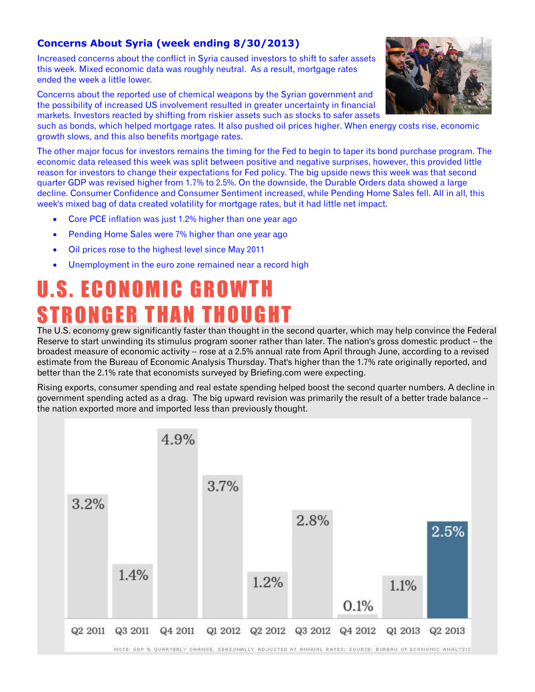#### **Concerns About Syria (week ending 8/30/2013)**

Increased concerns about the conflict in Syria caused investors to shift to safer assets this week. Mixed economic data was roughly neutral. As a result, mortgage rates ended the week a little lower.

Concerns about the reported use of chemical weapons by the Syrian government and the possibility of increased US involvement resulted in greater uncertainty in financial markets. Investors reacted by shifting from riskier assets such as stocks to safer assets



such as bonds, which helped mortgage rates. It also pushed oil prices higher. When energy costs rise, economic growth slows, and this also benefits mortgage rates.

The other major focus for investors remains the timing for the Fed to begin to taper its bond purchase program. The economic data released this week was split between positive and negative surprises, however, this provided little reason for investors to change their expectations for Fed policy. The big upside news this week was that second quarter GDP was revised higher from 1.7% to 2.5%. On the downside, the Durable Orders data showed a large decline. Consumer Confidence and Consumer Sentiment increased, while Pending Home Sales fell. All in all, this week's mixed bag of data created volatility for mortgage rates, but it had little net impact.

- Core PCE inflation was just 1.2% higher than one year ago
- Pending Home Sales were 7% higher than one year ago
- · Oil prices rose to the highest level since May 2011
- · Unemployment in the euro zone remained near a record high

## U . S . E C O N O M I C G R O W T H **STRONGER THAN THOUGHT**

The U.S. economy grew significantly faster than thought in the second quarter, which may help convince the Federal Reserve to start unwinding its stimulus program sooner rather than later. The nation's gross domestic product -- the broadest measure of economic activity -- rose at a 2.5% annual rate from April through June, according to a revised estimate from the Bureau of Economic Analysis Thursday. That's higher than the 1.7% rate originally reported, and better than the 2.1% rate that economists surveyed by Briefing.com were expecting.

Rising exports, consumer spending and real estate spending helped boost the second quarter numbers. A decline in government spending acted as a drag. The big upward revision was primarily the result of a better trade balance - the nation exported more and imported less than previously thought.

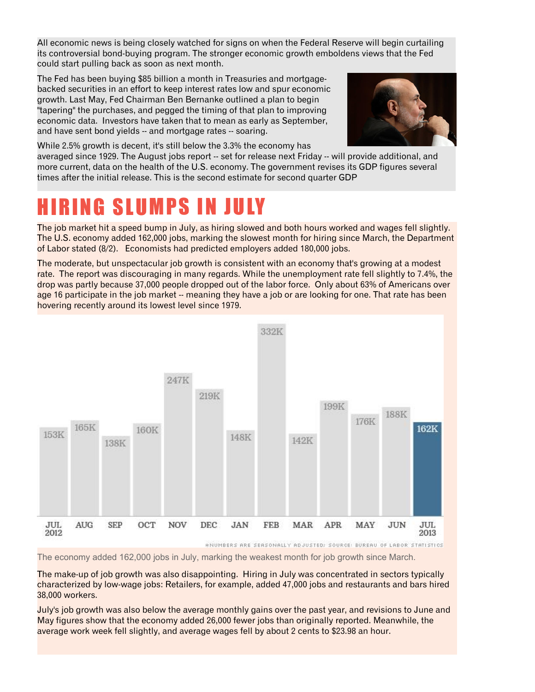All economic news is being closely watched for signs on when the Federal Reserve will begin curtailing its controversial bond-buying program. The stronger economic growth emboldens views that the Fed could start pulling back as soon as next month.

The Fed has been buying \$85 billion a month in Treasuries and mortgagebacked securities in an effort to keep interest rates low and spur economic growth. Last May, Fed Chairman Ben Bernanke outlined a plan to begin "tapering" the purchases, and pegged the timing of that plan to improving economic data. Investors have taken that to mean as early as September, and have sent bond yields -- and mortgage rates -- soaring.



While 2.5% growth is decent, it's still below the 3.3% the economy has

averaged since 1929. The August jobs report -- set for release next Friday -- will provide additional, and more current, data on the health of the U.S. economy. The government revises its GDP figures several times after the initial release. This is the second estimate for second quarter GDP

#### IRING SLUMPS IN JULY

The job market hit a speed bump in July, as hiring slowed and both hours worked and wages fell slightly. The U.S. economy added 162,000 jobs, marking the slowest month for hiring since March, the Department of Labor stated (8/2). Economists had predicted employers added 180,000 jobs.

The moderate, but unspectacular job growth is consistent with an economy that's growing at a modest rate. The report was discouraging in many regards. While the unemployment rate fell slightly to 7.4%, the drop was partly because 37,000 people dropped out of the labor force. Only about 63% of Americans over age 16 participate in the job market -- meaning they have a job or are looking for one. That rate has been hovering recently around its lowest level since 1979.



The economy added 162,000 jobs in July, marking the weakest month for job growth since March.

The make-up of job growth was also disappointing. Hiring in July was concentrated in sectors typically characterized by low-wage jobs: Retailers, for example, added 47,000 jobs and restaurants and bars hired 38,000 workers.

July's job growth was also below the average monthly gains over the past year, and revisions to June and May figures show that the economy added 26,000 fewer jobs than originally reported. Meanwhile, the average work week fell slightly, and average wages fell by about 2 cents to \$23.98 an hour.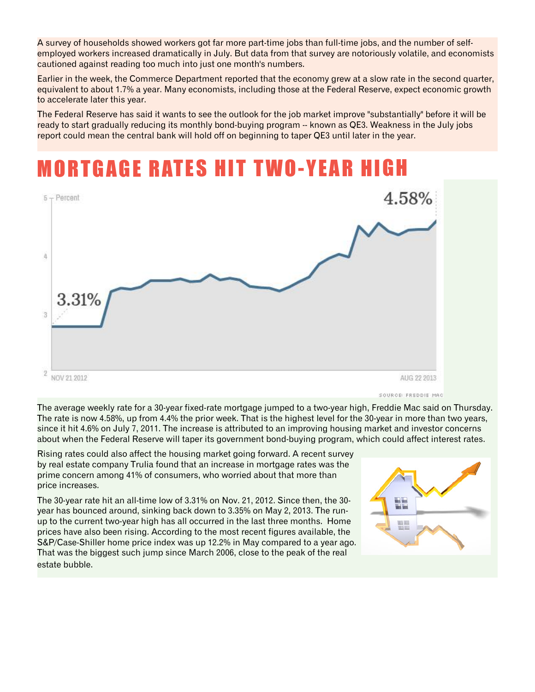A survey of households showed workers got far more part-time jobs than full-time jobs, and the number of selfemployed workers increased dramatically in July. But data from that survey are notoriously volatile, and economists cautioned against reading too much into just one month's numbers.

Earlier in the week, the Commerce Department reported that the economy grew at a slow rate in the second quarter, equivalent to about 1.7% a year. Many economists, including those at the Federal Reserve, expect economic growth to accelerate later this year.

The Federal Reserve has said it wants to see the outlook for the job market improve "substantially" before it will be ready to start gradually reducing its monthly bond-buying program -- known as QE3. Weakness in the July jobs report could mean the central bank will hold off on beginning to taper QE3 until later in the year.

### **MORTGAGE RATES HIT TWO-YEAR HIGH**



SOURCE: FREDDIE MAC

The average weekly rate for a 30-year fixed-rate mortgage jumped to a two-year high, Freddie Mac said on Thursday. The rate is now 4.58%, up from 4.4% the prior week. That is the highest level for the 30-year in more than two years, since it hit 4.6% on July 7, 2011. The increase is attributed to an improving housing market and investor concerns about when the Federal Reserve will taper its government bond-buying program, which could affect interest rates.

Rising rates could also affect the housing market going forward. A recent survey by real estate company Trulia found that an increase in mortgage rates was the prime concern among 41% of consumers, who worried about that more than price increases.

The 30-year rate hit an all-time low of 3.31% on Nov. 21, 2012. Since then, the 30 year has bounced around, sinking back down to 3.35% on May 2, 2013. The runup to the current two-year high has all occurred in the last three months. Home prices have also been rising. According to the most recent figures available, the S&P/Case-Shiller home price index was up 12.2% in May compared to a year ago. That was the biggest such jump since March 2006, close to the peak of the real estate bubble.

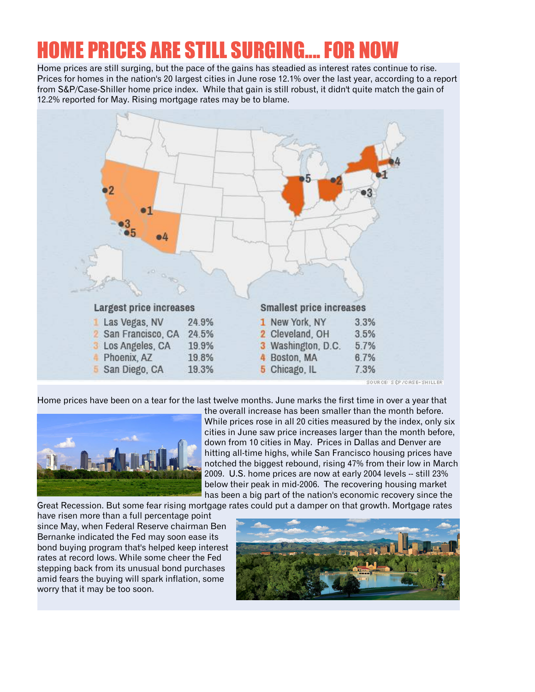### OME PRICES ARE STILL SURGING.... FOR

Home prices are still surging, but the pace of the gains has steadied as interest rates continue to rise. Prices for homes in the nation's 20 largest cities in June rose 12.1% over the last year, according to a report from S&P/Case-Shiller home price index. While that gain is still robust, it didn't quite match the gain of 12.2% reported for May. Rising mortgage rates may be to blame.



Home prices have been on a tear for the last twelve months. June marks the first time in over a year that



the overall increase has been smaller than the month before. While prices rose in all 20 cities measured by the index, only six cities in June saw price increases larger than the month before, down from 10 cities in May. Prices in Dallas and Denver are hitting all-time highs, while San Francisco housing prices have notched the biggest rebound, rising 47% from their low in March 2009. U.S. home prices are now at early 2004 levels -- still 23% below their peak in mid-2006. The recovering housing market has been a big part of the nation's economic recovery since the

Great Recession. But some fear rising mortgage rates could put a damper on that growth. Mortgage rates

have risen more than a full percentage point since May, when Federal Reserve chairman Ben Bernanke indicated the Fed may soon ease its bond buying program that's helped keep interest rates at record lows. While some cheer the Fed stepping back from its unusual bond purchases amid fears the buying will spark inflation, some worry that it may be too soon.

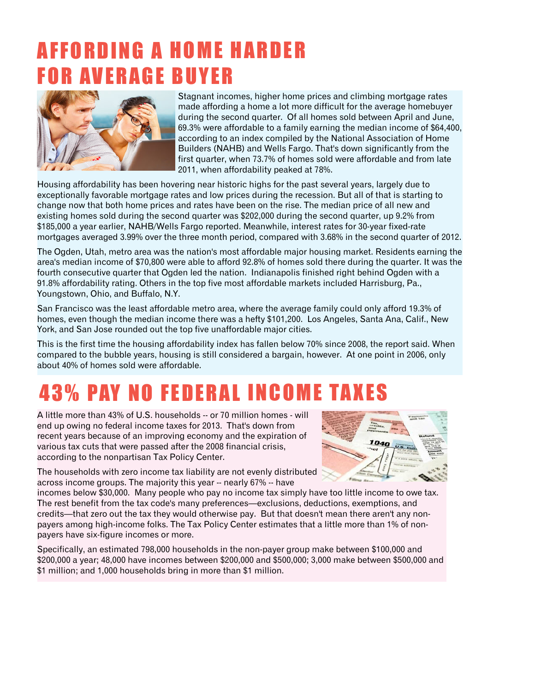### A F F O R D I N G A H O M E H A R D E R **FOR AVERAGE BUYER**



Stagnant incomes, higher home prices and climbing mortgage rates made affording a home a lot more difficult for the average homebuyer during the second quarter. Of all homes sold between April and June, 69.3% were affordable to a family earning the median income of \$64,400, according to an index compiled by the National Association of Home Builders (NAHB) and Wells Fargo. That's down significantly from the first quarter, when 73.7% of homes sold were affordable and from late 2011, when affordability peaked at 78%.

Housing affordability has been hovering near historic highs for the past several years, largely due to exceptionally favorable mortgage rates and low prices during the recession. But all of that is starting to change now that both home prices and rates have been on the rise. The median price of all new and existing homes sold during the second quarter was \$202,000 during the second quarter, up 9.2% from \$185,000 a year earlier, NAHB/Wells Fargo reported. Meanwhile, interest rates for 30-year fixed-rate mortgages averaged 3.99% over the three month period, compared with 3.68% in the second quarter of 2012.

The Ogden, Utah, metro area was the nation's most affordable major housing market. Residents earning the area's median income of \$70,800 were able to afford 92.8% of homes sold there during the quarter. It was the fourth consecutive quarter that Ogden led the nation. Indianapolis finished right behind Ogden with a 91.8% affordability rating. Others in the top five most affordable markets included Harrisburg, Pa., Youngstown, Ohio, and Buffalo, N.Y.

San Francisco was the least affordable metro area, where the average family could only afford 19.3% of homes, even though the median income there was a hefty \$101,200. Los Angeles, Santa Ana, Calif., New York, and San Jose rounded out the top five unaffordable major cities.

This is the first time the housing affordability index has fallen below 70% since 2008, the report said. When compared to the bubble years, housing is still considered a bargain, however. At one point in 2006, only about 40% of homes sold were affordable.

### **43% PAY NO FEDERAL INCOME TAXES**

A little more than 43% of U.S. households -- or 70 million homes - will end up owing no federal income taxes for 2013. That's down from recent years because of an improving economy and the expiration of various tax cuts that were passed after the 2008 financial crisis, according to the nonpartisan Tax Policy Center.



The households with zero income tax liability are not evenly distributed across income groups. The majority this year -- nearly 67% -- have

incomes below \$30,000. Many people who pay no income tax simply have too little income to owe tax. The rest benefit from the tax code's many preferences—exclusions, deductions, exemptions, and credits—that zero out the tax they would otherwise pay. But that doesn't mean there aren't any nonpayers among high-income folks. The Tax Policy Center estimates that a little more than 1% of nonpayers have six-figure incomes or more.

Specifically, an estimated 798,000 households in the non-payer group make between \$100,000 and \$200,000 a year; 48,000 have incomes between \$200,000 and \$500,000; 3,000 make between \$500,000 and \$1 million; and 1,000 households bring in more than \$1 million.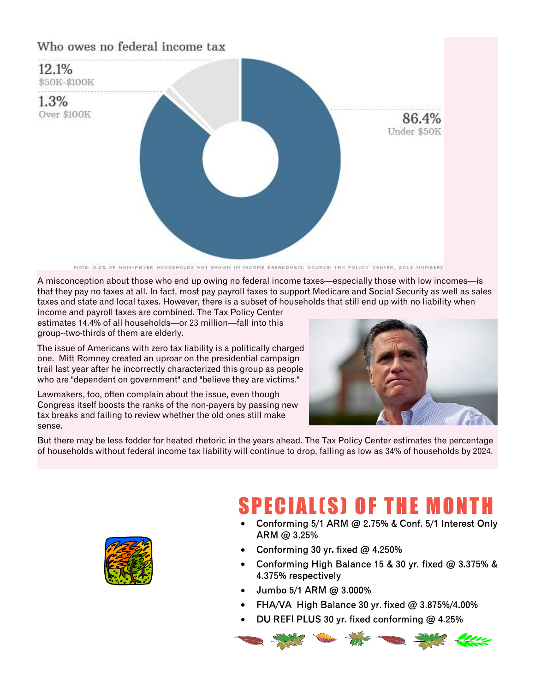

NOTE: 0.2% OF NON-PAYER HOUSEHOLDS NOT SHOWN IN INCOME BREAKDOWN; SOURCE: TAX POLICY CENTER, 2013 NUMBERS

A misconception about those who end up owing no federal income taxes—especially those with low incomes—is that they pay no taxes at all. In fact, most pay payroll taxes to support Medicare and Social Security as well as sales taxes and state and local taxes. However, there is a subset of households that still end up with no liability when

income and payroll taxes are combined. The Tax Policy Center estimates 14.4% of all households—or 23 million—fall into this group--two-thirds of them are elderly.

The issue of Americans with zero tax liability is a politically charged one. Mitt Romney created an uproar on the presidential campaign trail last year after he incorrectly characterized this group as people who are "dependent on government" and "believe they are victims."

Lawmakers, too, often complain about the issue, even though Congress itself boosts the ranks of the non-payers by passing new tax breaks and failing to review whether the old ones still make sense.



But there may be less fodder for heated rhetoric in the years ahead. The Tax Policy Center estimates the percentage of households without federal income tax liability will continue to drop, falling as low as 34% of households by 2024.



### **SPECIAL(S) OF THE MONTH**

- Conforming 5/1 ARM @ 2.75% & Conf. 5/1 Interest Only · ARM @ 3.25%
- · Conforming 30 yr. fixed  $@$  4.250%
- Conforming High Balance 15 & 30 yr. fixed @ 3.375% & 4.375% respectively
- Jumbo 5/1 ARM @ 3,000% ·
- FHA/VA High Balance 30 yr. fixed @ 3.875%/4.00% ·
- DU REFI PLUS 30 yr. fixed conforming @ 4.25% ·